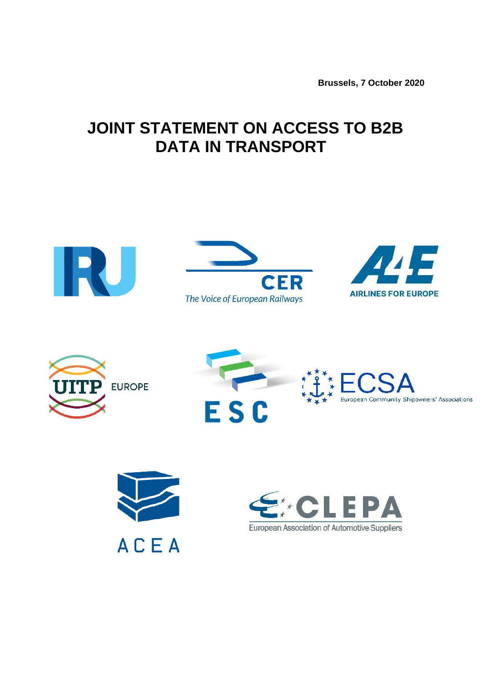**Brussels, 7 October 2020**

## **JOINT STATEMENT ON ACCESS TO B2B DATA IN TRANSPORT**









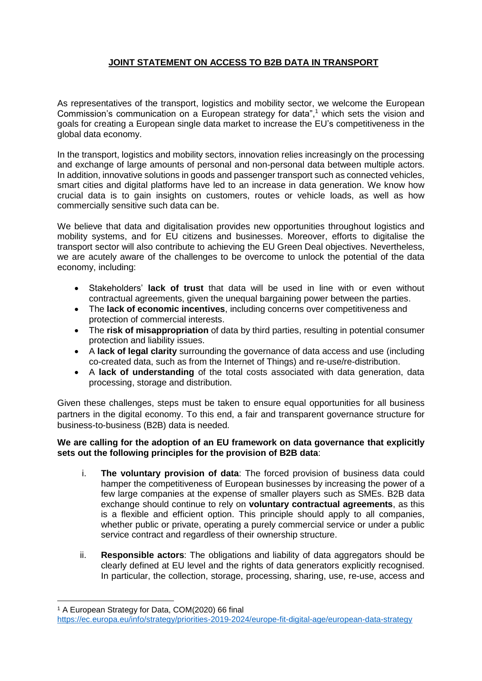## **JOINT STATEMENT ON ACCESS TO B2B DATA IN TRANSPORT**

As representatives of the transport, logistics and mobility sector, we welcome the European Commission's communication on a European strategy for data", <sup>1</sup> which sets the vision and goals for creating a European single data market to increase the EU's competitiveness in the global data economy.

In the transport, logistics and mobility sectors, innovation relies increasingly on the processing and exchange of large amounts of personal and non-personal data between multiple actors. In addition, innovative solutions in goods and passenger transport such as connected vehicles, smart cities and digital platforms have led to an increase in data generation. We know how crucial data is to gain insights on customers, routes or vehicle loads, as well as how commercially sensitive such data can be.

We believe that data and digitalisation provides new opportunities throughout logistics and mobility systems, and for EU citizens and businesses. Moreover, efforts to digitalise the transport sector will also contribute to achieving the EU Green Deal objectives. Nevertheless, we are acutely aware of the challenges to be overcome to unlock the potential of the data economy, including:

- Stakeholders' **lack of trust** that data will be used in line with or even without contractual agreements, given the unequal bargaining power between the parties.
- The **lack of economic incentives**, including concerns over competitiveness and protection of commercial interests.
- The **risk of misappropriation** of data by third parties, resulting in potential consumer protection and liability issues.
- A **lack of legal clarity** surrounding the governance of data access and use (including co-created data, such as from the Internet of Things) and re-use/re-distribution.
- A **lack of understanding** of the total costs associated with data generation, data processing, storage and distribution.

Given these challenges, steps must be taken to ensure equal opportunities for all business partners in the digital economy. To this end, a fair and transparent governance structure for business-to-business (B2B) data is needed.

## **We are calling for the adoption of an EU framework on data governance that explicitly sets out the following principles for the provision of B2B data**:

- i. **The voluntary provision of data**: The forced provision of business data could hamper the competitiveness of European businesses by increasing the power of a few large companies at the expense of smaller players such as SMEs. B2B data exchange should continue to rely on **voluntary contractual agreements**, as this is a flexible and efficient option. This principle should apply to all companies, whether public or private, operating a purely commercial service or under a public service contract and regardless of their ownership structure.
- ii. **Responsible actors**: The obligations and liability of data aggregators should be clearly defined at EU level and the rights of data generators explicitly recognised. In particular, the collection, storage, processing, sharing, use, re-use, access and

<sup>1</sup> <sup>1</sup> A European Strategy for Data, COM(2020) 66 final

<https://ec.europa.eu/info/strategy/priorities-2019-2024/europe-fit-digital-age/european-data-strategy>